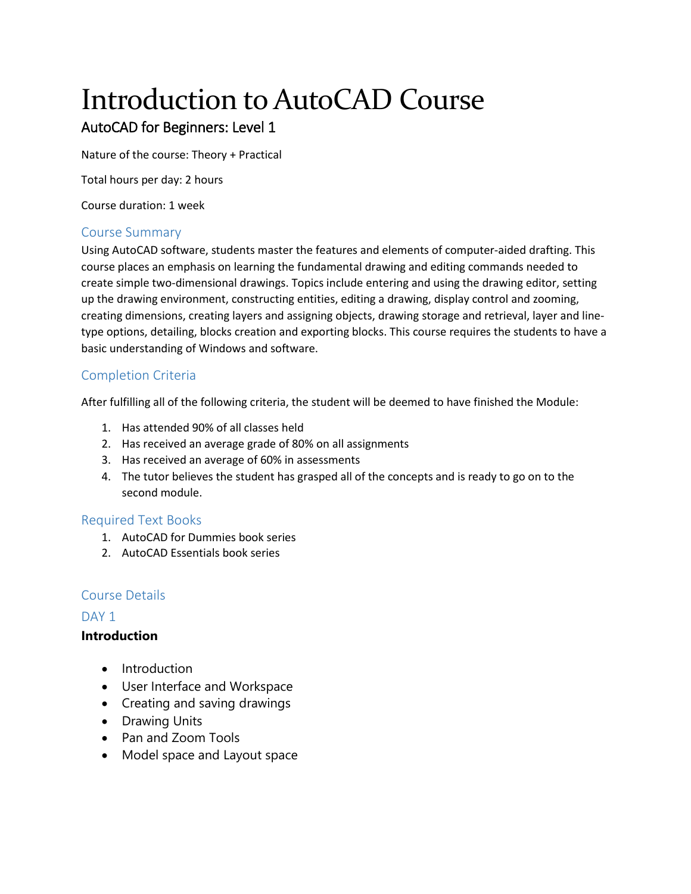# Introduction to AutoCAD Course

# AutoCAD for Beginners: Level 1

Nature of the course: Theory + Practical

Total hours per day: 2 hours

Course duration: 1 week

# Course Summary

Using AutoCAD software, students master the features and elements of computer-aided drafting. This course places an emphasis on learning the fundamental drawing and editing commands needed to create simple two-dimensional drawings. Topics include entering and using the drawing editor, setting up the drawing environment, constructing entities, editing a drawing, display control and zooming, creating dimensions, creating layers and assigning objects, drawing storage and retrieval, layer and linetype options, detailing, blocks creation and exporting blocks. This course requires the students to have a basic understanding of Windows and software.

# Completion Criteria

After fulfilling all of the following criteria, the student will be deemed to have finished the Module:

- 1. Has attended 90% of all classes held
- 2. Has received an average grade of 80% on all assignments
- 3. Has received an average of 60% in assessments
- 4. The tutor believes the student has grasped all of the concepts and is ready to go on to the second module.

# Required Text Books

- 1. AutoCAD for Dummies book series
- 2. AutoCAD Essentials book series

# Course Details

# DAY<sub>1</sub>

# **Introduction**

- Introduction
- User Interface and Workspace
- Creating and saving drawings
- Drawing Units
- Pan and Zoom Tools
- Model space and Layout space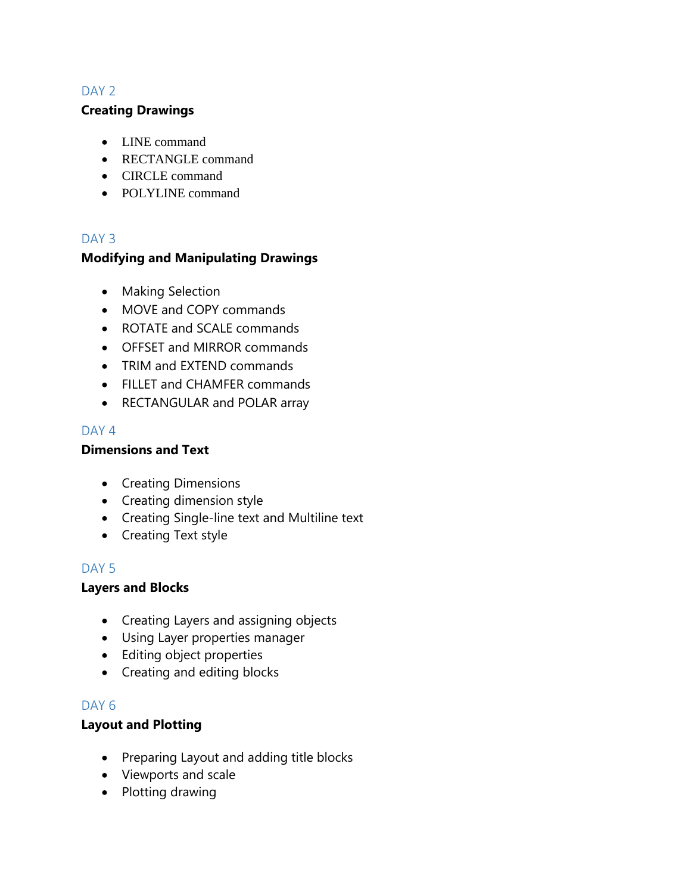# DAY<sub>2</sub>

#### **Creating Drawings**

- LINE command
- RECTANGLE command
- CIRCLE command
- POLYLINE command

# DAY<sub>3</sub>

# **Modifying and Manipulating Drawings**

- Making Selection
- MOVE and COPY commands
- ROTATE and SCALE commands
- OFFSET and MIRROR commands
- TRIM and EXTEND commands
- FILLET and CHAMFER commands
- RECTANGULAR and POLAR array

#### DAY<sub>4</sub>

#### **Dimensions and Text**

- Creating Dimensions
- Creating dimension style
- Creating Single-line text and Multiline text
- Creating Text style

# DAY<sub>5</sub>

# **Layers and Blocks**

- Creating Layers and assigning objects
- Using Layer properties manager
- Editing object properties
- Creating and editing blocks

# DAY<sub>6</sub>

# **Layout and Plotting**

- Preparing Layout and adding title blocks
- Viewports and scale
- Plotting drawing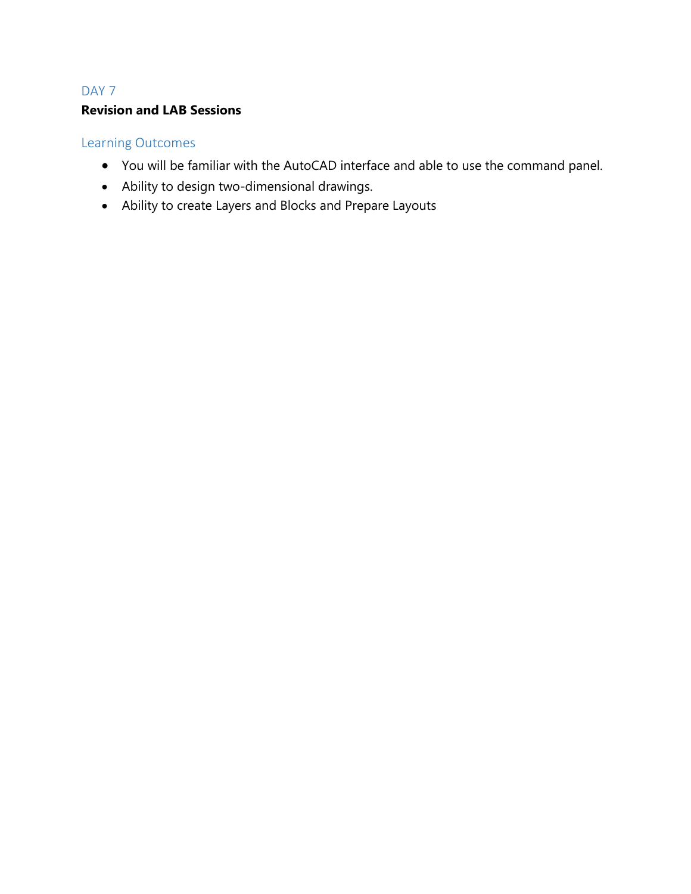# DAY<sub>7</sub> **Revision and LAB Sessions**

# Learning Outcomes

- You will be familiar with the AutoCAD interface and able to use the command panel.
- Ability to design two-dimensional drawings.
- Ability to create Layers and Blocks and Prepare Layouts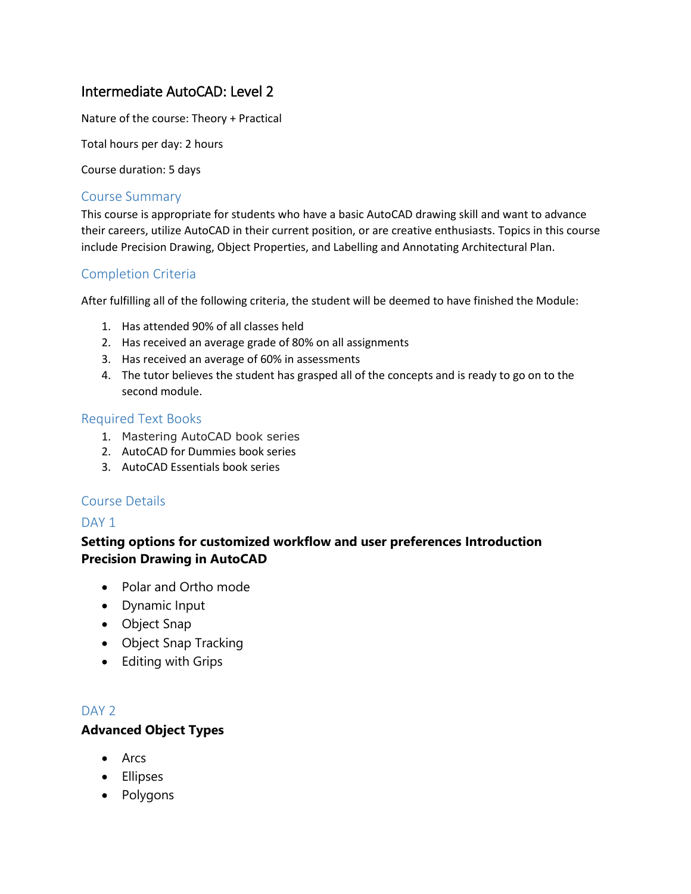# Intermediate AutoCAD: Level 2

Nature of the course: Theory + Practical

Total hours per day: 2 hours

Course duration: 5 days

#### Course Summary

This course is appropriate for students who have a basic AutoCAD drawing skill and want to advance their careers, utilize AutoCAD in their current position, or are creative enthusiasts. Topics in this course include Precision Drawing, Object Properties, and Labelling and Annotating Architectural Plan.

# Completion Criteria

After fulfilling all of the following criteria, the student will be deemed to have finished the Module:

- 1. Has attended 90% of all classes held
- 2. Has received an average grade of 80% on all assignments
- 3. Has received an average of 60% in assessments
- 4. The tutor believes the student has grasped all of the concepts and is ready to go on to the second module.

#### Required Text Books

- 1. Mastering AutoCAD book series
- 2. AutoCAD for Dummies book series
- 3. AutoCAD Essentials book series

# Course Details

#### DAY<sub>1</sub>

# **Setting options for customized workflow and user preferences Introduction Precision Drawing in AutoCAD**

- Polar and Ortho mode
- Dynamic Input
- Object Snap
- Object Snap Tracking
- Editing with Grips

# DAY<sub>2</sub>

#### **Advanced Object Types**

- Arcs
- Ellipses
- Polygons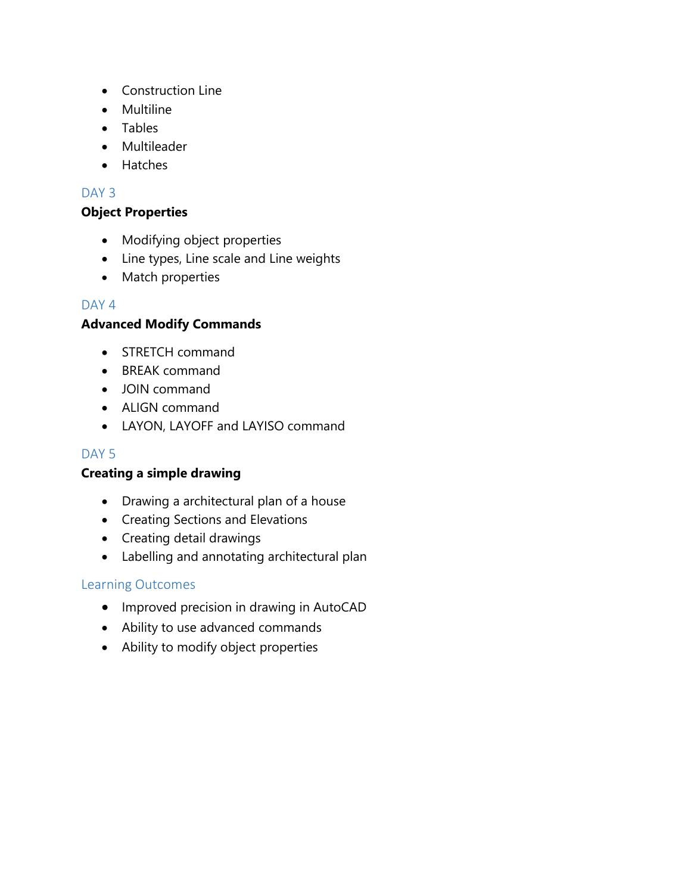- Construction Line
- Multiline
- Tables
- Multileader
- Hatches

# DAY<sub>3</sub>

# **Object Properties**

- Modifying object properties
- Line types, Line scale and Line weights
- Match properties

# DAY<sub>4</sub>

# **Advanced Modify Commands**

- STRETCH command
- BREAK command
- JOIN command
- ALIGN command
- LAYON, LAYOFF and LAYISO command

# DAY<sub>5</sub>

# **Creating a simple drawing**

- Drawing a architectural plan of a house
- Creating Sections and Elevations
- Creating detail drawings
- Labelling and annotating architectural plan

# Learning Outcomes

- Improved precision in drawing in AutoCAD
- Ability to use advanced commands
- Ability to modify object properties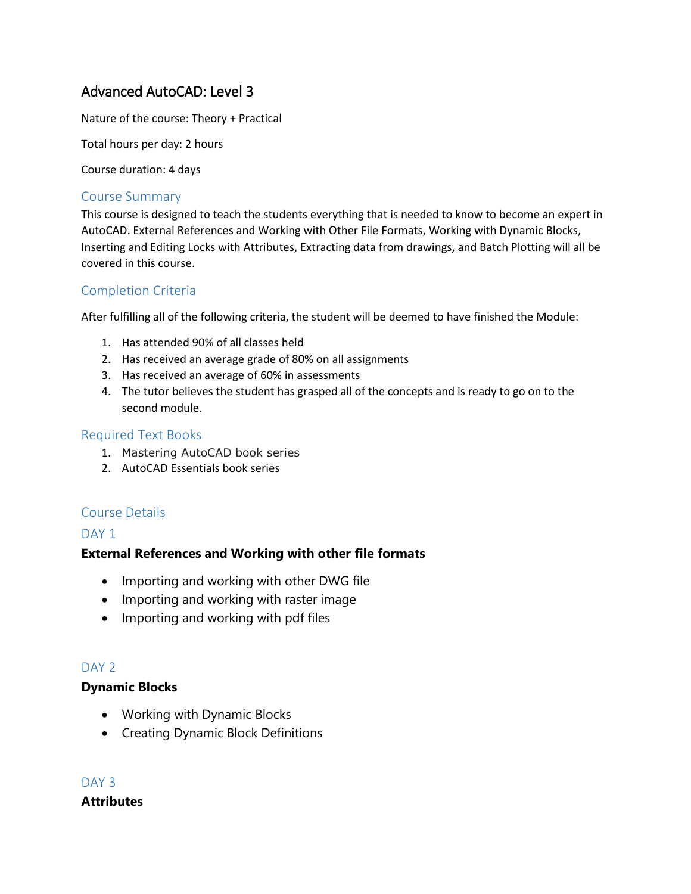# Advanced AutoCAD: Level 3

Nature of the course: Theory + Practical

Total hours per day: 2 hours

Course duration: 4 days

#### Course Summary

This course is designed to teach the students everything that is needed to know to become an expert in AutoCAD. External References and Working with Other File Formats, Working with Dynamic Blocks, Inserting and Editing Locks with Attributes, Extracting data from drawings, and Batch Plotting will all be covered in this course.

# Completion Criteria

After fulfilling all of the following criteria, the student will be deemed to have finished the Module:

- 1. Has attended 90% of all classes held
- 2. Has received an average grade of 80% on all assignments
- 3. Has received an average of 60% in assessments
- 4. The tutor believes the student has grasped all of the concepts and is ready to go on to the second module.

#### Required Text Books

- 1. Mastering AutoCAD book series
- 2. AutoCAD Essentials book series

# Course Details

#### DAY<sub>1</sub>

# **External References and Working with other file formats**

- Importing and working with other DWG file
- Importing and working with raster image
- Importing and working with pdf files

# DAY<sub>2</sub>

#### **Dynamic Blocks**

- Working with Dynamic Blocks
- Creating Dynamic Block Definitions

DAY<sub>3</sub> **Attributes**